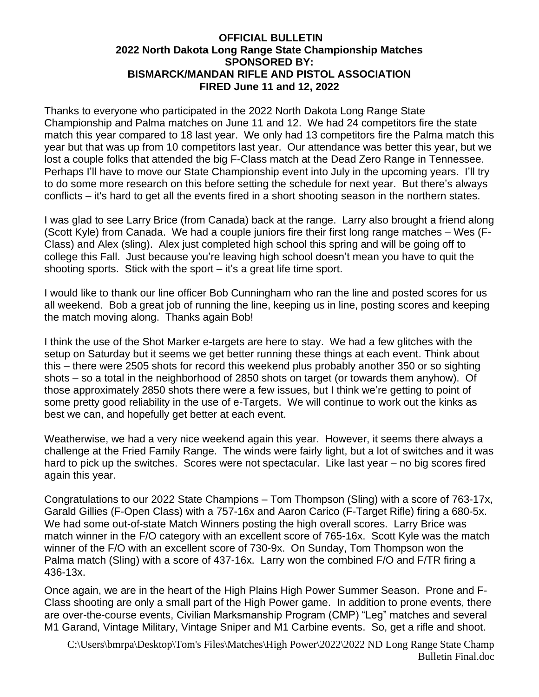## **OFFICIAL BULLETIN 2022 North Dakota Long Range State Championship Matches SPONSORED BY: BISMARCK/MANDAN RIFLE AND PISTOL ASSOCIATION FIRED June 11 and 12, 2022**

Thanks to everyone who participated in the 2022 North Dakota Long Range State Championship and Palma matches on June 11 and 12. We had 24 competitors fire the state match this year compared to 18 last year. We only had 13 competitors fire the Palma match this year but that was up from 10 competitors last year. Our attendance was better this year, but we lost a couple folks that attended the big F-Class match at the Dead Zero Range in Tennessee. Perhaps I'll have to move our State Championship event into July in the upcoming years. I'll try to do some more research on this before setting the schedule for next year. But there's always conflicts – it's hard to get all the events fired in a short shooting season in the northern states.

I was glad to see Larry Brice (from Canada) back at the range. Larry also brought a friend along (Scott Kyle) from Canada. We had a couple juniors fire their first long range matches – Wes (F-Class) and Alex (sling). Alex just completed high school this spring and will be going off to college this Fall. Just because you're leaving high school doesn't mean you have to quit the shooting sports. Stick with the sport – it's a great life time sport.

I would like to thank our line officer Bob Cunningham who ran the line and posted scores for us all weekend. Bob a great job of running the line, keeping us in line, posting scores and keeping the match moving along. Thanks again Bob!

I think the use of the Shot Marker e-targets are here to stay. We had a few glitches with the setup on Saturday but it seems we get better running these things at each event. Think about this – there were 2505 shots for record this weekend plus probably another 350 or so sighting shots – so a total in the neighborhood of 2850 shots on target (or towards them anyhow). Of those approximately 2850 shots there were a few issues, but I think we're getting to point of some pretty good reliability in the use of e-Targets. We will continue to work out the kinks as best we can, and hopefully get better at each event.

Weatherwise, we had a very nice weekend again this year. However, it seems there always a challenge at the Fried Family Range. The winds were fairly light, but a lot of switches and it was hard to pick up the switches. Scores were not spectacular. Like last year – no big scores fired again this year.

Congratulations to our 2022 State Champions – Tom Thompson (Sling) with a score of 763-17x, Garald Gillies (F-Open Class) with a 757-16x and Aaron Carico (F-Target Rifle) firing a 680-5x. We had some out-of-state Match Winners posting the high overall scores. Larry Brice was match winner in the F/O category with an excellent score of 765-16x. Scott Kyle was the match winner of the F/O with an excellent score of 730-9x. On Sunday, Tom Thompson won the Palma match (Sling) with a score of 437-16x. Larry won the combined F/O and F/TR firing a 436-13x.

Once again, we are in the heart of the High Plains High Power Summer Season. Prone and F-Class shooting are only a small part of the High Power game. In addition to prone events, there are over-the-course events, Civilian Marksmanship Program (CMP) "Leg" matches and several M1 Garand, Vintage Military, Vintage Sniper and M1 Carbine events. So, get a rifle and shoot.

C:\Users\bmrpa\Desktop\Tom's Files\Matches\High Power\2022\2022 ND Long Range State Champ Bulletin Final.doc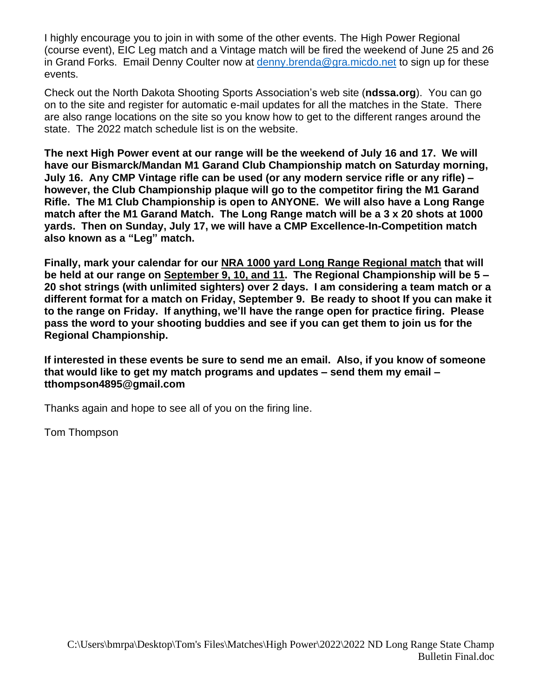I highly encourage you to join in with some of the other events. The High Power Regional (course event), EIC Leg match and a Vintage match will be fired the weekend of June 25 and 26 in Grand Forks. Email Denny Coulter now at [denny.brenda@gra.micdo.net](mailto:denny.brenda@gra.micdo.net) to sign up for these events.

Check out the North Dakota Shooting Sports Association's web site (**ndssa.org**). You can go on to the site and register for automatic e-mail updates for all the matches in the State. There are also range locations on the site so you know how to get to the different ranges around the state. The 2022 match schedule list is on the website.

**The next High Power event at our range will be the weekend of July 16 and 17. We will have our Bismarck/Mandan M1 Garand Club Championship match on Saturday morning, July 16. Any CMP Vintage rifle can be used (or any modern service rifle or any rifle) – however, the Club Championship plaque will go to the competitor firing the M1 Garand Rifle. The M1 Club Championship is open to ANYONE. We will also have a Long Range match after the M1 Garand Match. The Long Range match will be a 3 x 20 shots at 1000 yards. Then on Sunday, July 17, we will have a CMP Excellence-In-Competition match also known as a "Leg" match.**

**Finally, mark your calendar for our NRA 1000 yard Long Range Regional match that will be held at our range on September 9, 10, and 11. The Regional Championship will be 5 – 20 shot strings (with unlimited sighters) over 2 days. I am considering a team match or a different format for a match on Friday, September 9. Be ready to shoot If you can make it to the range on Friday. If anything, we'll have the range open for practice firing. Please pass the word to your shooting buddies and see if you can get them to join us for the Regional Championship.**

**If interested in these events be sure to send me an email. Also, if you know of someone that would like to get my match programs and updates – send them my email – tthompson4895@gmail.com**

Thanks again and hope to see all of you on the firing line.

Tom Thompson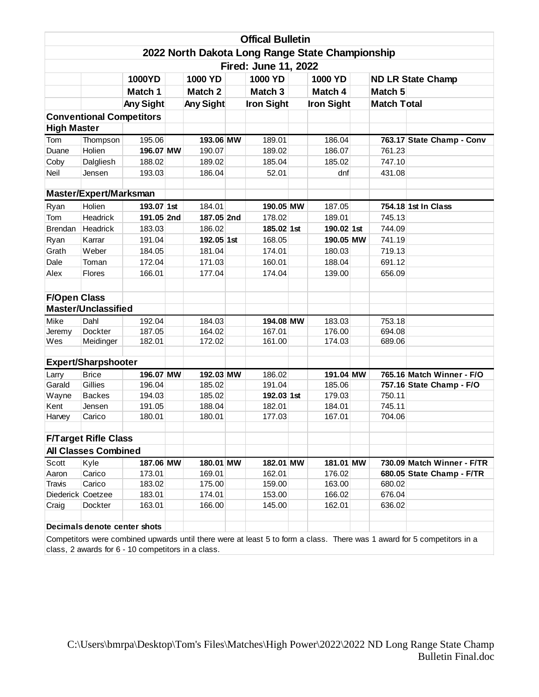| <b>Offical Bulletin</b>                                                                                                 |                            |                  |  |            |  |                    |                   |            |  |                    |                            |  |
|-------------------------------------------------------------------------------------------------------------------------|----------------------------|------------------|--|------------|--|--------------------|-------------------|------------|--|--------------------|----------------------------|--|
| 2022 North Dakota Long Range State Championship                                                                         |                            |                  |  |            |  |                    |                   |            |  |                    |                            |  |
| <b>Fired: June 11, 2022</b>                                                                                             |                            |                  |  |            |  |                    |                   |            |  |                    |                            |  |
|                                                                                                                         |                            | <b>1000YD</b>    |  | 1000 YD    |  | 1000 YD            |                   | 1000 YD    |  |                    | <b>ND LR State Champ</b>   |  |
|                                                                                                                         |                            | Match 1          |  | Match 2    |  | Match <sub>3</sub> |                   | Match 4    |  | Match <sub>5</sub> |                            |  |
|                                                                                                                         |                            | <b>Any Sight</b> |  | Any Sight  |  | <b>Iron Sight</b>  | <b>Iron Sight</b> |            |  | <b>Match Total</b> |                            |  |
| <b>Conventional Competitors</b>                                                                                         |                            |                  |  |            |  |                    |                   |            |  |                    |                            |  |
| <b>High Master</b>                                                                                                      |                            |                  |  |            |  |                    |                   |            |  |                    |                            |  |
| Tom                                                                                                                     | Thompson                   | 195.06           |  | 193.06 MW  |  | 189.01             |                   | 186.04     |  |                    | 763.17 State Champ - Conv  |  |
| Duane                                                                                                                   | Holien                     | 196.07 MW        |  | 190.07     |  | 189.02             |                   | 186.07     |  | 761.23             |                            |  |
| Coby                                                                                                                    | Dalgliesh                  | 188.02           |  | 189.02     |  | 185.04             |                   | 185.02     |  | 747.10             |                            |  |
| Neil                                                                                                                    | Jensen                     | 193.03           |  | 186.04     |  | 52.01              |                   | dnf        |  | 431.08             |                            |  |
|                                                                                                                         |                            |                  |  |            |  |                    |                   |            |  |                    |                            |  |
|                                                                                                                         | Master/Expert/Marksman     |                  |  |            |  |                    |                   |            |  |                    |                            |  |
| Ryan                                                                                                                    | Holien                     | 193.07 1st       |  | 184.01     |  | 190.05 MW          |                   | 187.05     |  |                    | 754.18 1st In Class        |  |
| Tom                                                                                                                     | Headrick                   | 191.05 2nd       |  | 187.05 2nd |  | 178.02             |                   | 189.01     |  | 745.13             |                            |  |
| <b>Brendan</b>                                                                                                          | Headrick                   | 183.03           |  | 186.02     |  | 185.02 1st         |                   | 190.02 1st |  | 744.09             |                            |  |
| Ryan                                                                                                                    | Karrar                     | 191.04           |  | 192.05 1st |  | 168.05             |                   | 190.05 MW  |  | 741.19             |                            |  |
| Grath                                                                                                                   | Weber                      | 184.05           |  | 181.04     |  | 174.01             |                   | 180.03     |  | 719.13             |                            |  |
| Dale                                                                                                                    | Toman                      | 172.04           |  | 171.03     |  | 160.01             |                   | 188.04     |  | 691.12             |                            |  |
| Alex                                                                                                                    | <b>Flores</b>              | 166.01           |  | 177.04     |  | 174.04             |                   | 139.00     |  | 656.09             |                            |  |
|                                                                                                                         |                            |                  |  |            |  |                    |                   |            |  |                    |                            |  |
| <b>F/Open Class</b>                                                                                                     |                            |                  |  |            |  |                    |                   |            |  |                    |                            |  |
|                                                                                                                         | <b>Master/Unclassified</b> |                  |  |            |  |                    |                   |            |  |                    |                            |  |
| Mike                                                                                                                    | Dahl                       | 192.04           |  | 184.03     |  | 194.08 MW          |                   | 183.03     |  | 753.18             |                            |  |
| Jeremy                                                                                                                  | Dockter                    | 187.05           |  | 164.02     |  | 167.01             |                   | 176.00     |  | 694.08             |                            |  |
| Wes                                                                                                                     | Meidinger                  | 182.01           |  | 172.02     |  | 161.00             |                   | 174.03     |  | 689.06             |                            |  |
|                                                                                                                         |                            |                  |  |            |  |                    |                   |            |  |                    |                            |  |
|                                                                                                                         | <b>Expert/Sharpshooter</b> |                  |  |            |  |                    |                   |            |  |                    |                            |  |
| Larry                                                                                                                   | <b>Brice</b>               | 196.07 MW        |  | 192.03 MW  |  | 186.02             |                   | 191.04 MW  |  |                    | 765.16 Match Winner - F/O  |  |
| Garald                                                                                                                  | Gillies                    | 196.04           |  | 185.02     |  | 191.04             |                   | 185.06     |  |                    | 757.16 State Champ - F/O   |  |
| Wayne                                                                                                                   | <b>Backes</b>              | 194.03           |  | 185.02     |  | 192.03 1st         |                   | 179.03     |  | 750.11             |                            |  |
| Kent                                                                                                                    | Jensen                     | 191.05           |  | 188.04     |  | 182.01             |                   | 184.01     |  | 745.11             |                            |  |
| Harvey                                                                                                                  | Carico                     | 180.01           |  | 180.01     |  | 177.03             |                   | 167.01     |  | 704.06             |                            |  |
|                                                                                                                         |                            |                  |  |            |  |                    |                   |            |  |                    |                            |  |
| <b>F/Target Rifle Class</b><br><b>All Classes Combined</b>                                                              |                            |                  |  |            |  |                    |                   |            |  |                    |                            |  |
| Scott                                                                                                                   | Kyle                       | 187.06 MW        |  | 180.01 MW  |  | 182.01 MW          |                   | 181.01 MW  |  |                    | 730.09 Match Winner - F/TR |  |
| Aaron                                                                                                                   | Carico                     | 173.01           |  | 169.01     |  | 162.01             |                   | 176.02     |  |                    | 680.05 State Champ - F/TR  |  |
| <b>Travis</b>                                                                                                           | Carico                     | 183.02           |  | 175.00     |  | 159.00             |                   | 163.00     |  | 680.02             |                            |  |
| Diederick Coetzee                                                                                                       |                            | 183.01           |  | 174.01     |  | 153.00             |                   | 166.02     |  | 676.04             |                            |  |
| Craig                                                                                                                   | Dockter                    | 163.01           |  | 166.00     |  | 145.00             |                   | 162.01     |  | 636.02             |                            |  |
|                                                                                                                         |                            |                  |  |            |  |                    |                   |            |  |                    |                            |  |
| Decimals denote center shots                                                                                            |                            |                  |  |            |  |                    |                   |            |  |                    |                            |  |
| Competitors were combined unwards until there were at least 5 to form a class. There was 1 award for 5 competitors in a |                            |                  |  |            |  |                    |                   |            |  |                    |                            |  |

Competitors were combined upwards until there were at least 5 to form a class. There was 1 award for 5 competitors in a class, 2 awards for 6 - 10 competitors in a class.